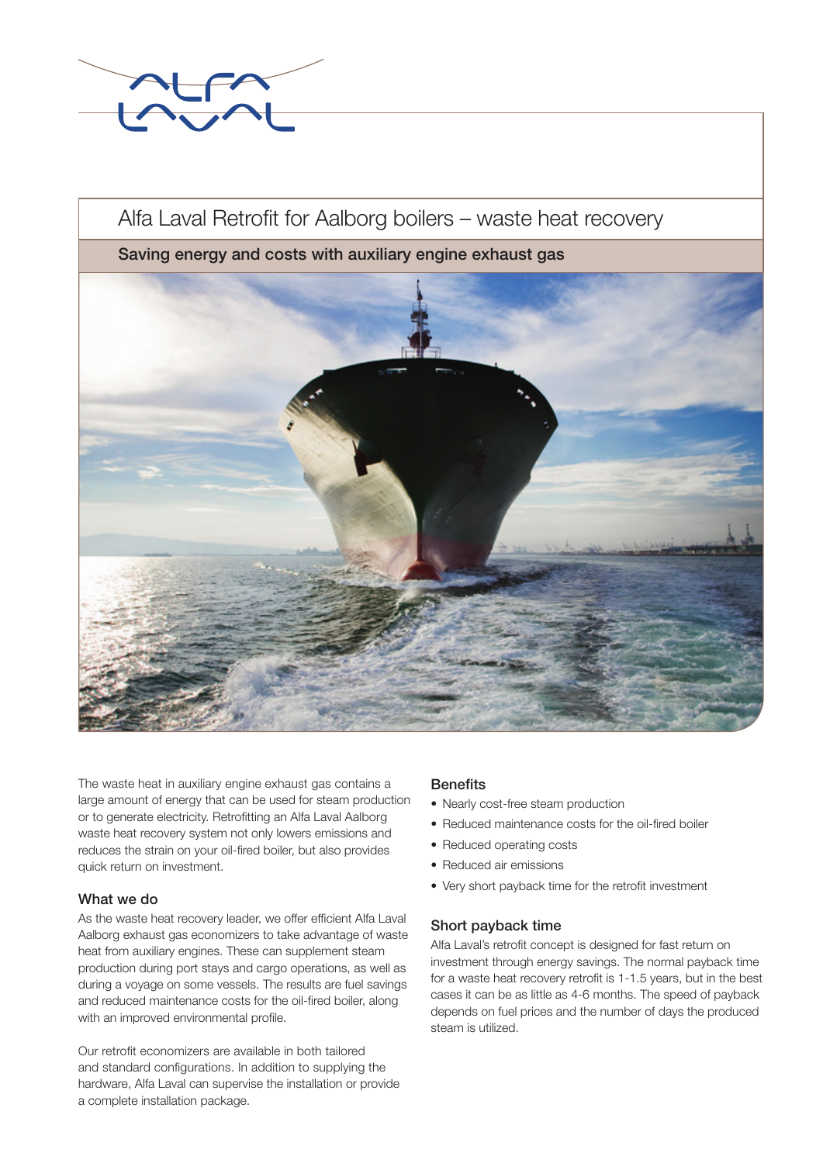

# Alfa Laval Retrofit for Aalborg boilers – waste heat recovery

# Saving energy and costs with auxiliary engine exhaust gas



The waste heat in auxiliary engine exhaust gas contains a large amount of energy that can be used for steam production or to generate electricity. Retrofitting an Alfa Laval Aalborg waste heat recovery system not only lowers emissions and reduces the strain on your oil-fired boiler, but also provides quick return on investment.

## What we do

As the waste heat recovery leader, we offer efficient Alfa Laval Aalborg exhaust gas economizers to take advantage of waste heat from auxiliary engines. These can supplement steam production during port stays and cargo operations, as well as during a voyage on some vessels. The results are fuel savings and reduced maintenance costs for the oil-fired boiler, along with an improved environmental profile.

Our retrofit economizers are available in both tailored and standard configurations. In addition to supplying the hardware, Alfa Laval can supervise the installation or provide a complete installation package.

# **Benefits**

- Nearly cost-free steam production
- Reduced maintenance costs for the oil-fired boiler
- Reduced operating costs
- Reduced air emissions
- Very short payback time for the retrofit investment

#### Short payback time

Alfa Laval's retrofit concept is designed for fast return on investment through energy savings. The normal payback time for a waste heat recovery retrofit is 1-1.5 years, but in the best cases it can be as little as 4-6 months. The speed of payback depends on fuel prices and the number of days the produced steam is utilized.